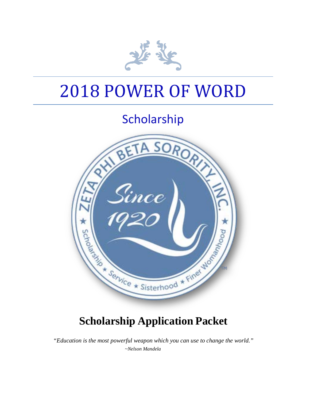

# 2018 POWER OF WORD

## Scholarship



### **Scholarship Application Packet**

*"Education is the most powerful weapon which you can use to change the world." ~Nelson Mandela*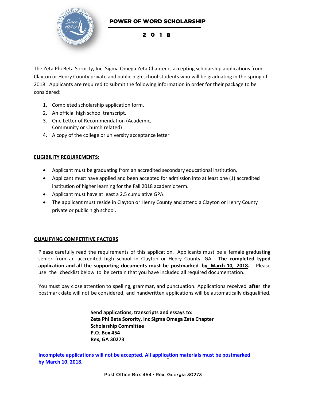

201 8

The Zeta Phi Beta Sorority, Inc. Sigma Omega Zeta Chapter is accepting scholarship applications from Clayton or Henry County private and public high school students who will be graduating in the spring of 2018. Applicants are required to submit the following information in order for their package to be considered:

- 1. Completed scholarship application form.
- 2. An official high school transcript.
- 3. One Letter of Recommendation (Academic, Community or Church related)
- 4. A copy of the college or university acceptance letter

#### **ELIGIBILITY REQUIREMENTS:**

- Applicant must be graduating from an accredited secondary educational institution.
- Applicant must have applied and been accepted for admission into at least one (1) accredited institution of higher learning for the Fall 2018 academic term.
- Applicant must have at least a 2.5 cumulative GPA.
- The applicant must reside in Clayton or Henry County and attend a Clayton or Henry County private or public high school.

#### **QUALIFYING COMPETITIVE FACTORS**

Please carefully read the requirements of this application. Applicants must be a female graduating senior from an accredited high school in Clayton or Henry County, GA. **The completed typed application and all the supporting documents must be postmarked by March 10, 2018.** Please use the checklist below to be certain that you have included all required documentation.

You must pay close attention to spelling, grammar, and punctuation. Applications received **after** the postmark date will not be considered, and handwritten applications will be automatically disqualified.

> **Send applications, transcripts and essays to: Zeta Phi Beta Sorority, Inc Sigma Omega Zeta Chapter Scholarship Committee P.O. Box 454 Rex, GA 30273**

**Incomplete applications will not be accepted. All application materials must be postmarked by March 10, 2018.**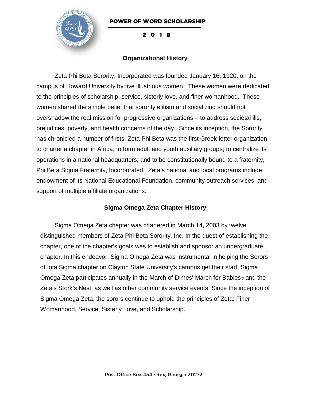

201 8

#### **Organizational History**

Zeta Phi Beta Sorority, Incorporated was founded January 16, 1920, on the campus of Howard University by five illustrious women. These women were dedicated to the principles of scholarship, service, sisterly love, and finer womanhood. These women shared the simple belief that sorority elitism and socializing should not overshadow the real mission for progressive organizations – to address societal ills, prejudices, poverty, and health concerns of the day. Since its inception, the Sorority has chronicled a number of firsts: Zeta Phi Beta was the first Greek-letter organization to charter a chapter in Africa; to form adult and youth auxiliary groups; to centralize its operations in a national headquarters; and to be constitutionally bound to a fraternity, Phi Beta Sigma Fraternity, Incorporated. Zeta's national and local programs include endowment of its National Educational Foundation, community outreach services, and support of multiple affiliate organizations.

#### **Sigma Omega Zeta Chapter History**

Sigma Omega Zeta chapter was chartered in March 14, 2003 by twelve distinguished members of Zeta Phi Beta Sorority, Inc. In the quest of establishing the chapter, one of the chapter's goals was to establish and sponsor an undergraduate chapter. In this endeavor, Sigma Omega Zeta was instrumental in helping the Sorors of Iota Sigma chapter on Clayton State University's campus get their start. Sigma Omega Zeta participates annually in the March of Dimes' March for Babies⊚ and the Zeta's Stork's Nest, as well as other community service events. Since the inception of Sigma Omega Zeta, the sorors continue to uphold the principles of Zeta: Finer Womanhood, Service, Sisterly Love, and Scholarship.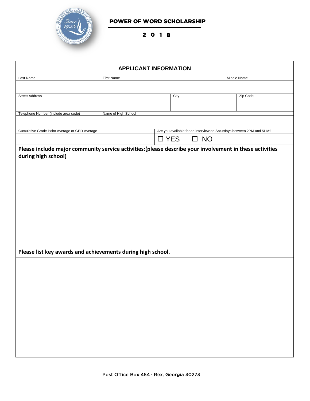

201 8

| <b>APPLICANT INFORMATION</b>                                                                                                    |                                                                      |  |      |  |             |
|---------------------------------------------------------------------------------------------------------------------------------|----------------------------------------------------------------------|--|------|--|-------------|
| Last Name                                                                                                                       | <b>First Name</b>                                                    |  |      |  | Middle Name |
|                                                                                                                                 |                                                                      |  |      |  |             |
| <b>Street Address</b>                                                                                                           |                                                                      |  | City |  | Zip Code    |
|                                                                                                                                 |                                                                      |  |      |  |             |
| Telephone Number (include area code)                                                                                            | Name of High School                                                  |  |      |  |             |
|                                                                                                                                 |                                                                      |  |      |  |             |
| Cumulative Grade Point Average or GED Average                                                                                   | Are you available for an interview on Saturdays between 2PM and 5PM? |  |      |  |             |
|                                                                                                                                 | $\square$ YES<br>$\square$ NO                                        |  |      |  |             |
| Please include major community service activities: (please describe your involvement in these activities<br>during high school) |                                                                      |  |      |  |             |
|                                                                                                                                 |                                                                      |  |      |  |             |
|                                                                                                                                 |                                                                      |  |      |  |             |
|                                                                                                                                 |                                                                      |  |      |  |             |
|                                                                                                                                 |                                                                      |  |      |  |             |
|                                                                                                                                 |                                                                      |  |      |  |             |
|                                                                                                                                 |                                                                      |  |      |  |             |
|                                                                                                                                 |                                                                      |  |      |  |             |
|                                                                                                                                 |                                                                      |  |      |  |             |
|                                                                                                                                 |                                                                      |  |      |  |             |
|                                                                                                                                 |                                                                      |  |      |  |             |
|                                                                                                                                 |                                                                      |  |      |  |             |
| Please list key awards and achievements during high school.                                                                     |                                                                      |  |      |  |             |
|                                                                                                                                 |                                                                      |  |      |  |             |
|                                                                                                                                 |                                                                      |  |      |  |             |
|                                                                                                                                 |                                                                      |  |      |  |             |
|                                                                                                                                 |                                                                      |  |      |  |             |
|                                                                                                                                 |                                                                      |  |      |  |             |
|                                                                                                                                 |                                                                      |  |      |  |             |
|                                                                                                                                 |                                                                      |  |      |  |             |
|                                                                                                                                 |                                                                      |  |      |  |             |
|                                                                                                                                 |                                                                      |  |      |  |             |
|                                                                                                                                 |                                                                      |  |      |  |             |
|                                                                                                                                 |                                                                      |  |      |  |             |
|                                                                                                                                 |                                                                      |  |      |  |             |
|                                                                                                                                 |                                                                      |  |      |  |             |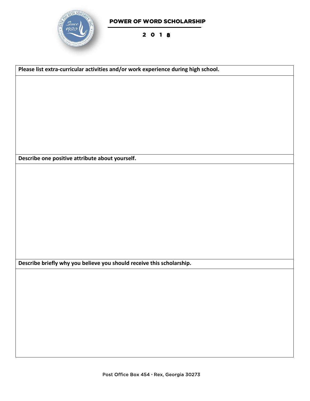

201 8

**Please list extra-curricular activities and/or work experience during high school. Describe one positive attribute about yourself. Describe briefly why you believe you should receive this scholarship.**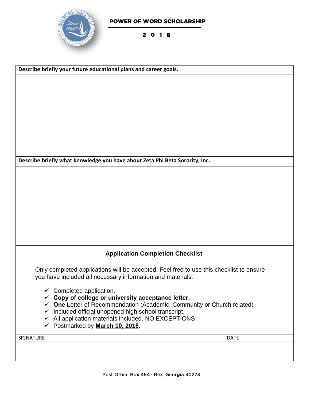

#### 201 8

| Describe briefly your future educational plans and career goals.                                                                                        |             |  |  |
|---------------------------------------------------------------------------------------------------------------------------------------------------------|-------------|--|--|
|                                                                                                                                                         |             |  |  |
|                                                                                                                                                         |             |  |  |
|                                                                                                                                                         |             |  |  |
|                                                                                                                                                         |             |  |  |
|                                                                                                                                                         |             |  |  |
|                                                                                                                                                         |             |  |  |
|                                                                                                                                                         |             |  |  |
| Describe briefly what knowledge you have about Zeta Phi Beta Sorority, Inc.                                                                             |             |  |  |
|                                                                                                                                                         |             |  |  |
|                                                                                                                                                         |             |  |  |
|                                                                                                                                                         |             |  |  |
|                                                                                                                                                         |             |  |  |
|                                                                                                                                                         |             |  |  |
|                                                                                                                                                         |             |  |  |
| <b>Application Completion Checklist</b>                                                                                                                 |             |  |  |
|                                                                                                                                                         |             |  |  |
| Only completed applications will be accepted. Feel free to use this checklist to ensure<br>you have included all necessary information and materials.   |             |  |  |
| $\checkmark$ Completed application.                                                                                                                     |             |  |  |
| $\checkmark$ Copy of college or university acceptance letter.                                                                                           |             |  |  |
| $\checkmark$ One Letter of Recommendation (Academic, Community or Church related)<br>Included official unopened high school transcript.<br>$\checkmark$ |             |  |  |
| $\checkmark$ All application materials included. NO EXCEPTIONS.                                                                                         |             |  |  |
| ← Postmarked by March 10, 2018.                                                                                                                         |             |  |  |
| SIGNATURE                                                                                                                                               | <b>DATE</b> |  |  |
|                                                                                                                                                         |             |  |  |
|                                                                                                                                                         |             |  |  |